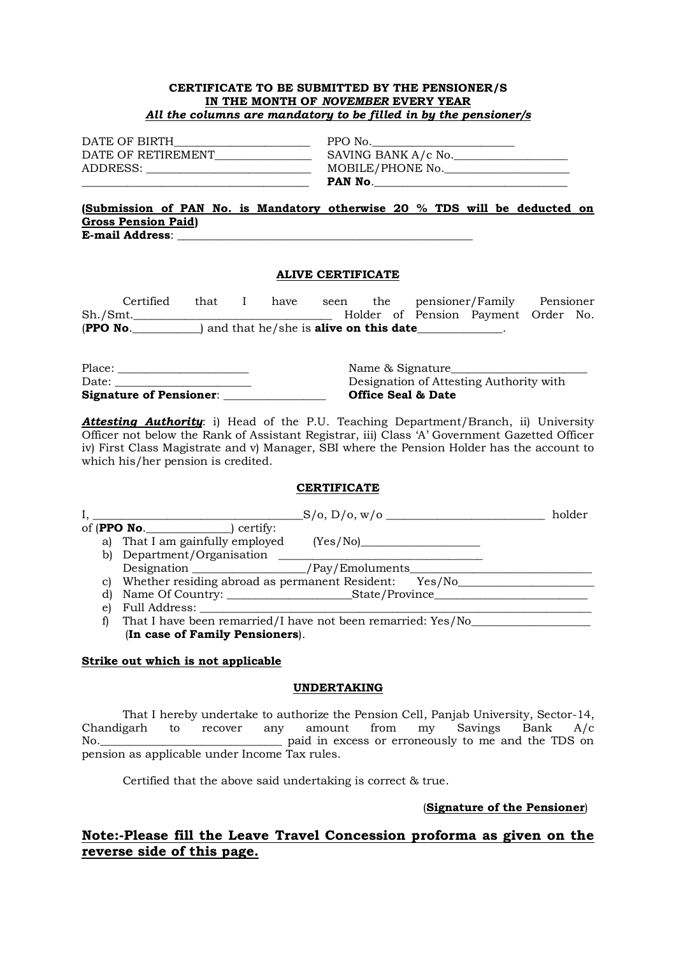### **CERTIFICATE TO BE SUBMITTED BY THE PENSIONER/S IN THE MONTH OF** *NOVEMBER* **EVERY YEAR** *All the columns are mandatory to be filled in by the pensioner/s*

| DATE OF BIRTH      |  |
|--------------------|--|
| DATE OF RETIREMENT |  |
| ADDRESS:           |  |
|                    |  |

 $\equiv$  PPO No. DATE OF RETIREMENT\_\_\_\_\_\_\_\_\_\_\_\_\_\_\_\_\_ SAVING BANK A/c No.\_\_\_\_\_\_\_\_\_\_\_\_\_\_\_\_\_\_\_\_  $\quad \blacksquare$  MOBILE/PHONE No. \_\_\_\_\_\_\_\_\_\_\_\_\_\_\_\_\_\_\_\_\_\_\_\_\_\_\_\_\_\_\_\_\_\_\_\_\_\_\_\_ **PAN No**.\_\_\_\_\_\_\_\_\_\_\_\_\_\_\_\_\_\_\_\_\_\_\_\_\_\_\_\_\_\_\_\_\_\_

### **(Submission of PAN No. is Mandatory otherwise 20 % TDS will be deducted on Gross Pension Paid) E-mail Address**: \_\_\_\_\_\_\_\_\_\_\_\_\_\_\_\_\_\_\_\_\_\_\_\_\_\_\_\_\_\_\_\_\_\_\_\_\_\_\_\_\_\_\_\_\_\_\_\_\_\_\_\_

### **ALIVE CERTIFICATE**

| Certified                                                          | that |  | have | seen |  | the pensioner/Family Pensioner      |  |  |
|--------------------------------------------------------------------|------|--|------|------|--|-------------------------------------|--|--|
| Sh./Smt.                                                           |      |  |      |      |  | Holder of Pension Payment Order No. |  |  |
| (PPO No.<br>) and that $he/she$ is $\bm{alive\; on\; this\; date}$ |      |  |      |      |  |                                     |  |  |

| Date:                          | Designation of Attesting Authority with |
|--------------------------------|-----------------------------------------|
| <b>Signature of Pensioner:</b> | <b>Office Seal &amp; Date</b>           |

*Attesting Authority*: i) Head of the P.U. Teaching Department/Branch, ii) University Officer not below the Rank of Assistant Registrar, iii) Class 'A' Government Gazetted Officer iv) First Class Magistrate and v) Manager, SBI where the Pension Holder has the account to which his/her pension is credited.

### **CERTIFICATE**

| holder<br>S/O, D/O, W/O |                                                                                                                                                                                                                               |          |  |  |
|-------------------------|-------------------------------------------------------------------------------------------------------------------------------------------------------------------------------------------------------------------------------|----------|--|--|
|                         | of $($ PPO No. $)$ certify:                                                                                                                                                                                                   |          |  |  |
|                         | a) That I am gainfully employed                                                                                                                                                                                               | (Yes/No) |  |  |
|                         | b) Department/Organisation                                                                                                                                                                                                    |          |  |  |
|                         |                                                                                                                                                                                                                               |          |  |  |
|                         | c) Whether residing abroad as permanent Resident: Yes/No                                                                                                                                                                      |          |  |  |
| d)                      |                                                                                                                                                                                                                               |          |  |  |
| e)                      | Full Address: The Contract of the Contract of the Contract of the Contract of the Contract of the Contract of the Contract of the Contract of the Contract of the Contract of the Contract of the Contract of the Contract of |          |  |  |
|                         | That I have been remarried/I have not been remarried: Yes/No                                                                                                                                                                  |          |  |  |
|                         | (In case of Family Pensioners).                                                                                                                                                                                               |          |  |  |

### **Strike out which is not applicable**

### **UNDERTAKING**

That I hereby undertake to authorize the Pension Cell, Panjab University, Sector-14, Chandigarh to recover any amount from my Savings Bank A/c No. The contract of the state of the paid in excess or erroneously to me and the TDS on pension as applicable under Income Tax rules.

Certified that the above said undertaking is correct & true.

(**Signature of the Pensioner**)

## **Note:-Please fill the Leave Travel Concession proforma as given on the reverse side of this page.**